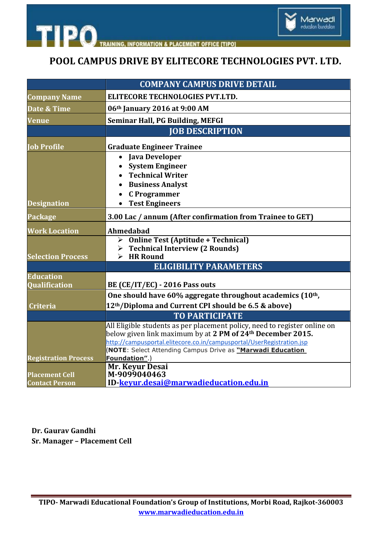

## **POOL CAMPUS DRIVE BY ELITECORE TECHNOLOGIES PVT. LTD.**

Marwadi<br>education foundation

|                                                | <b>COMPANY CAMPUS DRIVE DETAIL</b>                                           |
|------------------------------------------------|------------------------------------------------------------------------------|
| <b>Company Name</b>                            | <b>ELITECORE TECHNOLOGIES PVT.LTD.</b>                                       |
| Date & Time                                    | 06th January 2016 at 9:00 AM                                                 |
| <b>Venue</b>                                   | <b>Seminar Hall, PG Building, MEFGI</b>                                      |
|                                                | <b>JOB DESCRIPTION</b>                                                       |
| <b>Job Profile</b>                             | <b>Graduate Engineer Trainee</b>                                             |
|                                                | <b>Java Developer</b><br>$\bullet$                                           |
|                                                | <b>System Engineer</b>                                                       |
|                                                | <b>Technical Writer</b>                                                      |
|                                                | <b>Business Analyst</b>                                                      |
|                                                | <b>C</b> Programmer                                                          |
| <b>Designation</b>                             | <b>Test Engineers</b>                                                        |
| <b>Package</b>                                 | 3.00 Lac / annum (After confirmation from Trainee to GET)                    |
| <b>Work Location</b>                           | Ahmedabad                                                                    |
|                                                | > Online Test (Aptitude + Technical)                                         |
|                                                | $\triangleright$ Technical Interview (2 Rounds)<br>$\triangleright$ HR Round |
| <b>Selection Process</b>                       | <b>ELIGIBILITY PARAMETERS</b>                                                |
|                                                |                                                                              |
| <b>Education</b><br>Qualification              | BE (CE/IT/EC) - 2016 Pass outs                                               |
|                                                | One should have 60% aggregate throughout academics (10 <sup>th</sup> ,       |
|                                                | 12 <sup>th</sup> /Diploma and Current CPI should be 6.5 & above)             |
| <b>Criteria</b>                                | <b>TO PARTICIPATE</b>                                                        |
|                                                | All Eligible students as per placement policy, need to register online on    |
|                                                | below given link maximum by at 2 PM of 24 <sup>th</sup> December 2015.       |
|                                                | http://campusportal.elitecore.co.in/campusportal/UserRegistration.jsp        |
|                                                | <b>NOTE:</b> Select Attending Campus Drive as "Marwadi Education             |
| <b>Registration Process</b>                    | Foundation".)                                                                |
|                                                | Mr. Keyur Desai                                                              |
| <b>Placement Cell</b><br><b>Contact Person</b> | M-9099040463<br>ID-keyur.desai@marwadieducation.edu.in                       |
|                                                |                                                                              |

**Dr. Gaurav Gandhi Sr. Manager – Placement Cell**